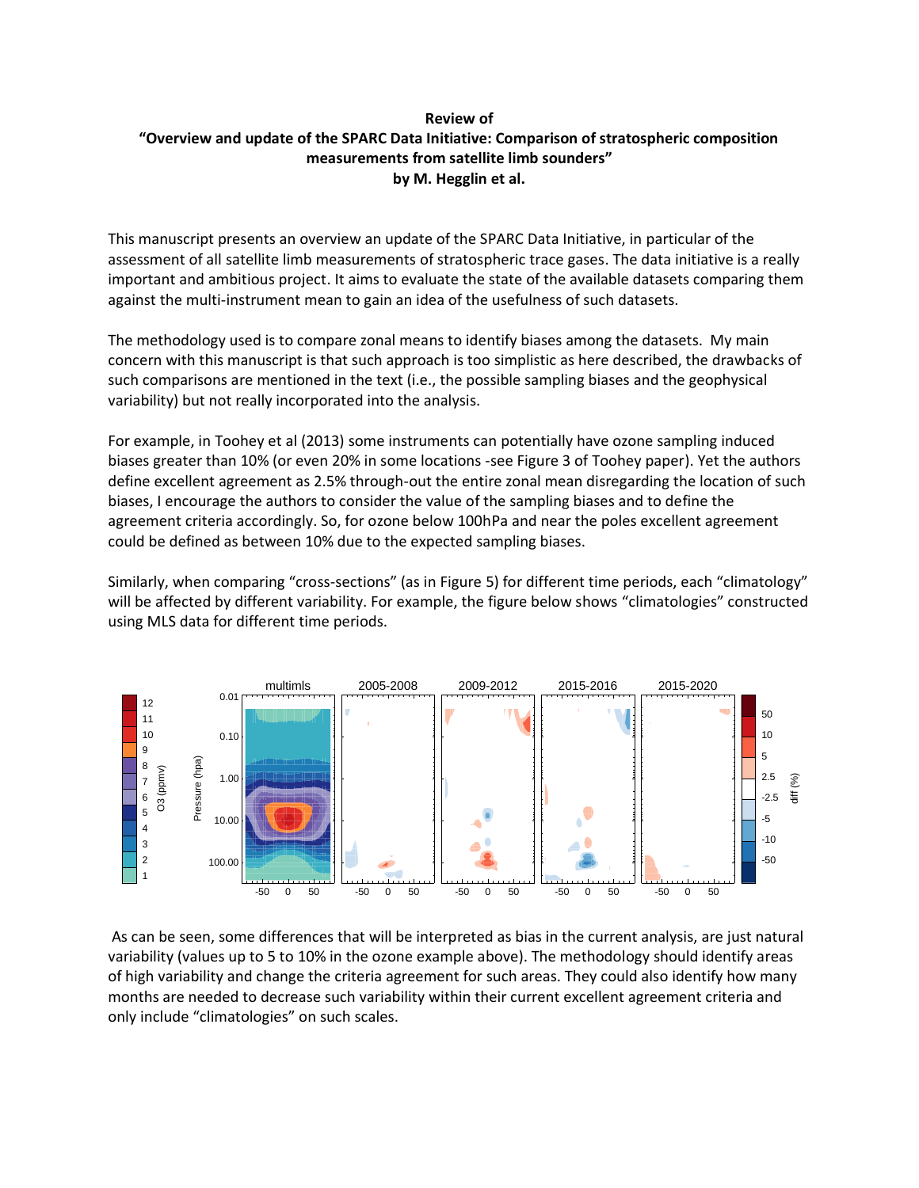## **Review of "Overview and update of the SPARC Data Initiative: Comparison of stratospheric composition measurements from satellite limb sounders" by M. Hegglin et al.**

This manuscript presents an overview an update of the SPARC Data Initiative, in particular of the assessment of all satellite limb measurements of stratospheric trace gases. The data initiative is a really important and ambitious project. It aims to evaluate the state of the available datasets comparing them against the multi-instrument mean to gain an idea of the usefulness of such datasets.

The methodology used is to compare zonal means to identify biases among the datasets. My main concern with this manuscript is that such approach is too simplistic as here described, the drawbacks of such comparisons are mentioned in the text (i.e., the possible sampling biases and the geophysical variability) but not really incorporated into the analysis.

For example, in Toohey et al (2013) some instruments can potentially have ozone sampling induced biases greater than 10% (or even 20% in some locations -see Figure 3 of Toohey paper). Yet the authors define excellent agreement as 2.5% through-out the entire zonal mean disregarding the location of such biases, I encourage the authors to consider the value of the sampling biases and to define the agreement criteria accordingly. So, for ozone below 100hPa and near the poles excellent agreement could be defined as between 10% due to the expected sampling biases.

Similarly, when comparing "cross-sections" (as in Figure 5) for different time periods, each "climatology" will be affected by different variability. For example, the figure below shows "climatologies" constructed using MLS data for different time periods.



As can be seen, some differences that will be interpreted as bias in the current analysis, are just natural variability (values up to 5 to 10% in the ozone example above). The methodology should identify areas of high variability and change the criteria agreement for such areas. They could also identify how many months are needed to decrease such variability within their current excellent agreement criteria and only include "climatologies" on such scales.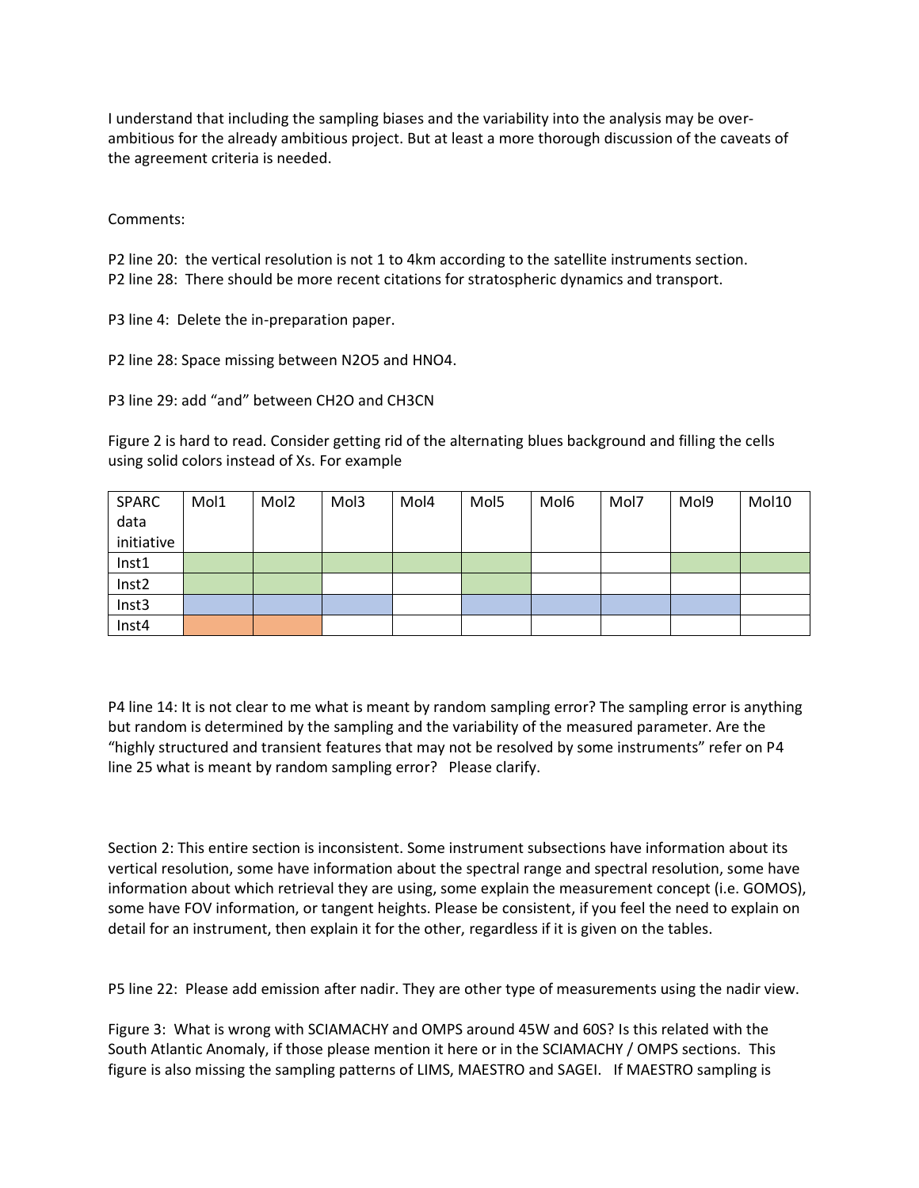I understand that including the sampling biases and the variability into the analysis may be overambitious for the already ambitious project. But at least a more thorough discussion of the caveats of the agreement criteria is needed.

Comments:

P2 line 20: the vertical resolution is not 1 to 4km according to the satellite instruments section. P2 line 28: There should be more recent citations for stratospheric dynamics and transport.

P3 line 4: Delete the in-preparation paper.

P2 line 28: Space missing between N2O5 and HNO4.

P3 line 29: add "and" between CH2O and CH3CN

Figure 2 is hard to read. Consider getting rid of the alternating blues background and filling the cells using solid colors instead of Xs. For example

| <b>SPARC</b> | Mol1 | Mol <sub>2</sub> | Mol3 | Mol4 | Mol5 | Mol6 | Mol7 | Mol9 | Mol10 |
|--------------|------|------------------|------|------|------|------|------|------|-------|
| data         |      |                  |      |      |      |      |      |      |       |
| initiative   |      |                  |      |      |      |      |      |      |       |
| Inst1        |      |                  |      |      |      |      |      |      |       |
| Inst2        |      |                  |      |      |      |      |      |      |       |
| Inst3        |      |                  |      |      |      |      |      |      |       |
| Inst4        |      |                  |      |      |      |      |      |      |       |

P4 line 14: It is not clear to me what is meant by random sampling error? The sampling error is anything but random is determined by the sampling and the variability of the measured parameter. Are the "highly structured and transient features that may not be resolved by some instruments" refer on P4 line 25 what is meant by random sampling error? Please clarify.

Section 2: This entire section is inconsistent. Some instrument subsections have information about its vertical resolution, some have information about the spectral range and spectral resolution, some have information about which retrieval they are using, some explain the measurement concept (i.e. GOMOS), some have FOV information, or tangent heights. Please be consistent, if you feel the need to explain on detail for an instrument, then explain it for the other, regardless if it is given on the tables.

P5 line 22: Please add emission after nadir. They are other type of measurements using the nadir view.

Figure 3: What is wrong with SCIAMACHY and OMPS around 45W and 60S? Is this related with the South Atlantic Anomaly, if those please mention it here or in the SCIAMACHY / OMPS sections. This figure is also missing the sampling patterns of LIMS, MAESTRO and SAGEI. If MAESTRO sampling is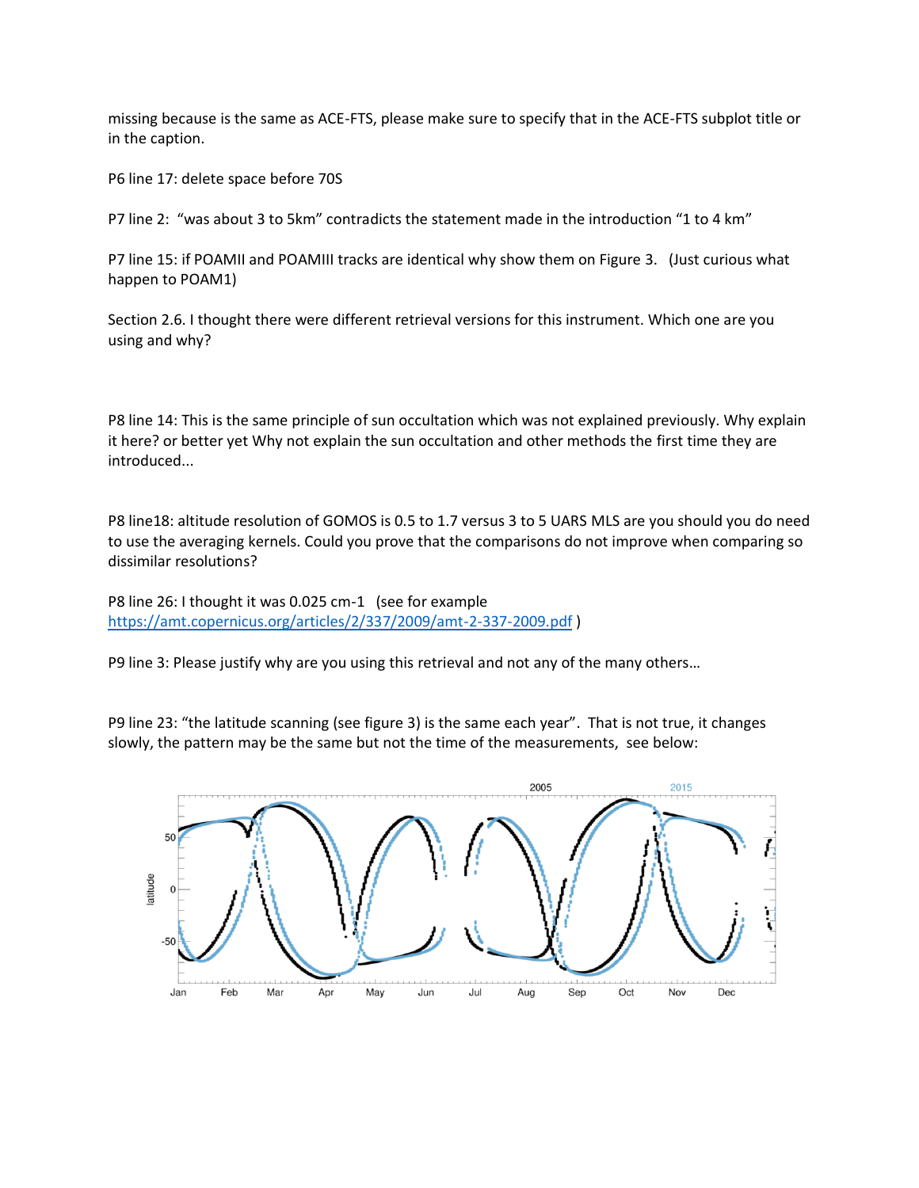missing because is the same as ACE-FTS, please make sure to specify that in the ACE-FTS subplot title or in the caption.

P6 line 17: delete space before 70S

P7 line 2: "was about 3 to 5km" contradicts the statement made in the introduction "1 to 4 km"

P7 line 15: if POAMII and POAMIII tracks are identical why show them on Figure 3. (Just curious what happen to POAM1)

Section 2.6. I thought there were different retrieval versions for this instrument. Which one are you using and why?

P8 line 14: This is the same principle of sun occultation which was not explained previously. Why explain it here? or better yet Why not explain the sun occultation and other methods the first time they are introduced...

P8 line18: altitude resolution of GOMOS is 0.5 to 1.7 versus 3 to 5 UARS MLS are you should you do need to use the averaging kernels. Could you prove that the comparisons do not improve when comparing so dissimilar resolutions?

P8 line 26: I thought it was 0.025 cm-1 (see for example <https://amt.copernicus.org/articles/2/337/2009/amt-2-337-2009.pdf> )

P9 line 3: Please justify why are you using this retrieval and not any of the many others…

P9 line 23: "the latitude scanning (see figure 3) is the same each year". That is not true, it changes slowly, the pattern may be the same but not the time of the measurements, see below:

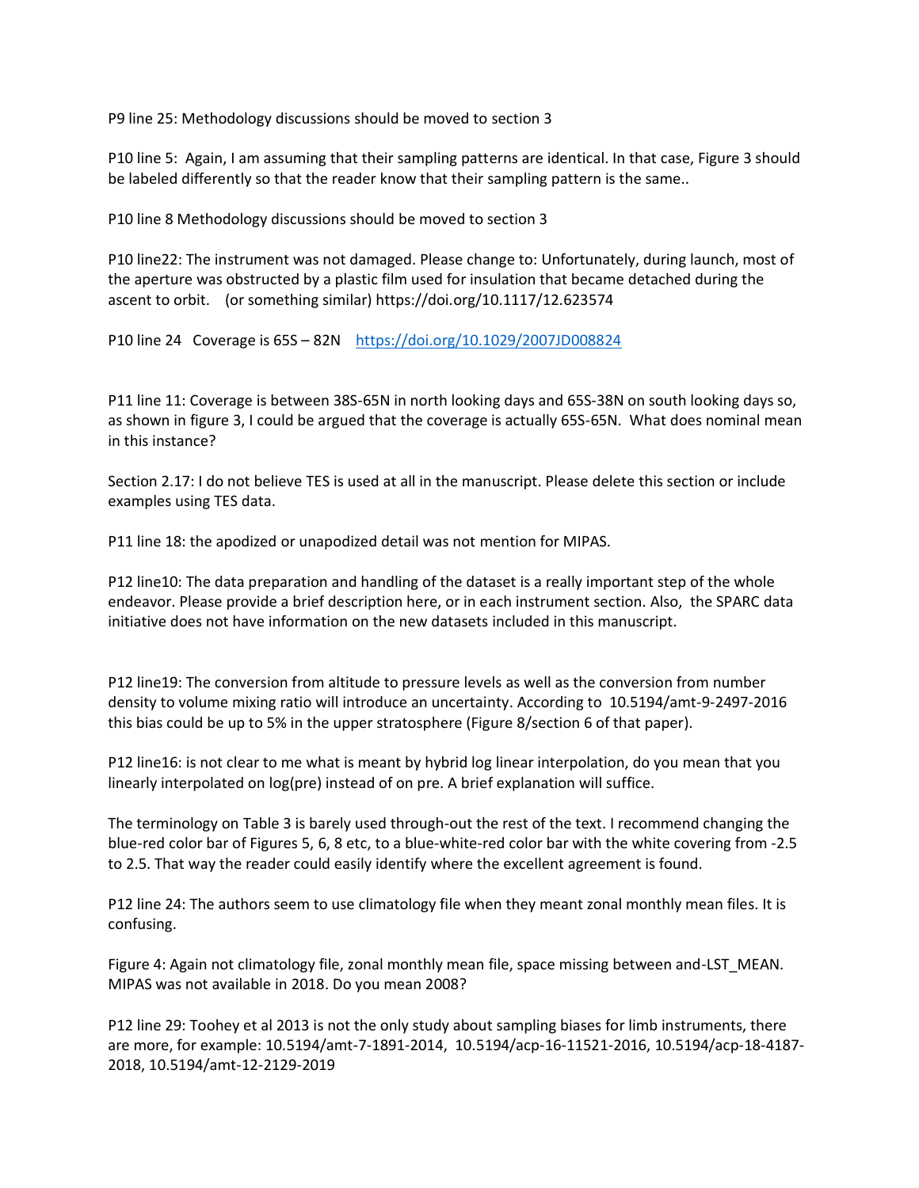P9 line 25: Methodology discussions should be moved to section 3

P10 line 5: Again, I am assuming that their sampling patterns are identical. In that case, Figure 3 should be labeled differently so that the reader know that their sampling pattern is the same..

P10 line 8 Methodology discussions should be moved to section 3

P10 line22: The instrument was not damaged. Please change to: Unfortunately, during launch, most of the aperture was obstructed by a plastic film used for insulation that became detached during the ascent to orbit. (or something similar) https://doi.org/10.1117/12.623574

P10 line 24 Coverage is 65S – 82N <https://doi.org/10.1029/2007JD008824>

P11 line 11: Coverage is between 38S-65N in north looking days and 65S-38N on south looking days so, as shown in figure 3, I could be argued that the coverage is actually 65S-65N. What does nominal mean in this instance?

Section 2.17: I do not believe TES is used at all in the manuscript. Please delete this section or include examples using TES data.

P11 line 18: the apodized or unapodized detail was not mention for MIPAS.

P12 line10: The data preparation and handling of the dataset is a really important step of the whole endeavor. Please provide a brief description here, or in each instrument section. Also, the SPARC data initiative does not have information on the new datasets included in this manuscript.

P12 line19: The conversion from altitude to pressure levels as well as the conversion from number density to volume mixing ratio will introduce an uncertainty. According to 10.5194/amt-9-2497-2016 this bias could be up to 5% in the upper stratosphere (Figure 8/section 6 of that paper).

P12 line16: is not clear to me what is meant by hybrid log linear interpolation, do you mean that you linearly interpolated on log(pre) instead of on pre. A brief explanation will suffice.

The terminology on Table 3 is barely used through-out the rest of the text. I recommend changing the blue-red color bar of Figures 5, 6, 8 etc, to a blue-white-red color bar with the white covering from -2.5 to 2.5. That way the reader could easily identify where the excellent agreement is found.

P12 line 24: The authors seem to use climatology file when they meant zonal monthly mean files. It is confusing.

Figure 4: Again not climatology file, zonal monthly mean file, space missing between and-LST\_MEAN. MIPAS was not available in 2018. Do you mean 2008?

P12 line 29: Toohey et al 2013 is not the only study about sampling biases for limb instruments, there are more, for example: 10.5194/amt-7-1891-2014, 10.5194/acp-16-11521-2016, 10.5194/acp-18-4187- 2018, 10.5194/amt-12-2129-2019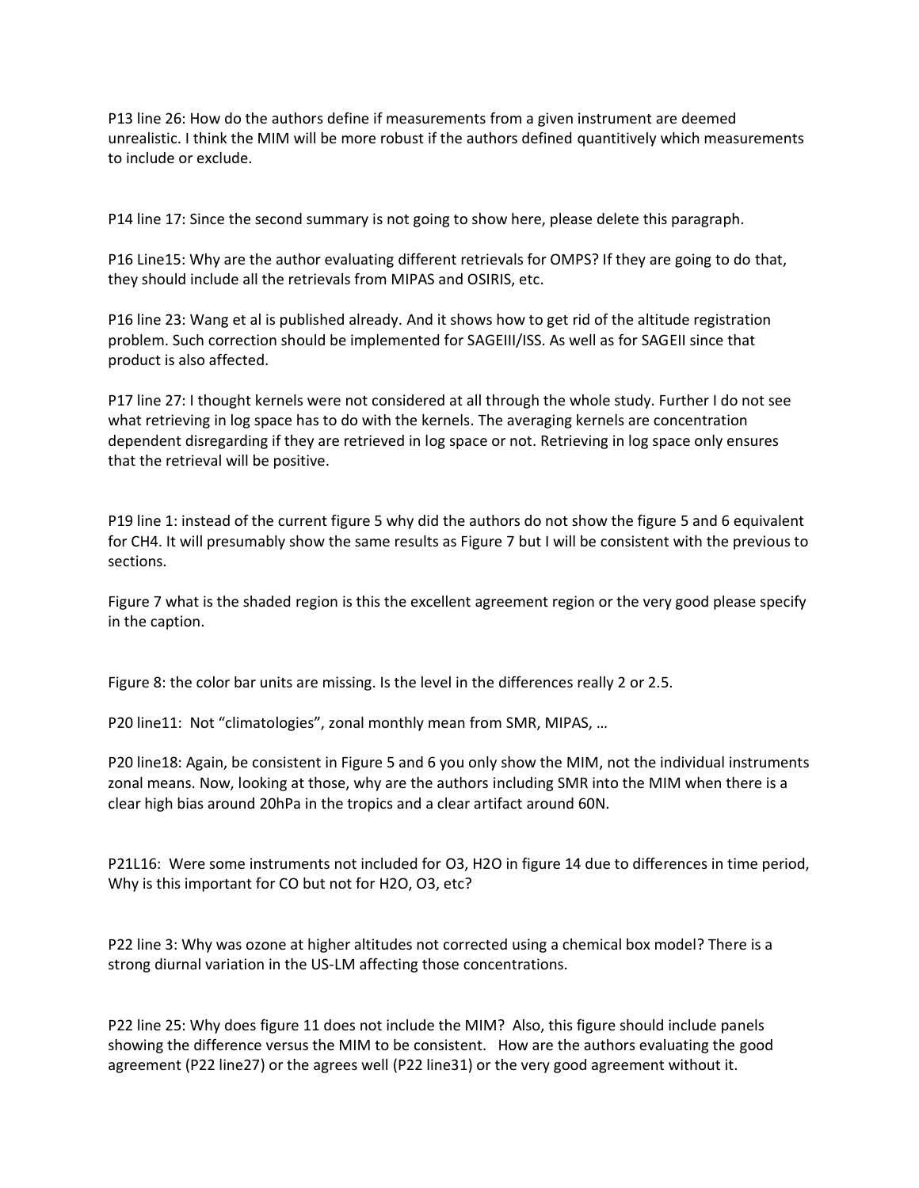P13 line 26: How do the authors define if measurements from a given instrument are deemed unrealistic. I think the MIM will be more robust if the authors defined quantitively which measurements to include or exclude.

P14 line 17: Since the second summary is not going to show here, please delete this paragraph.

P16 Line15: Why are the author evaluating different retrievals for OMPS? If they are going to do that, they should include all the retrievals from MIPAS and OSIRIS, etc.

P16 line 23: Wang et al is published already. And it shows how to get rid of the altitude registration problem. Such correction should be implemented for SAGEIII/ISS. As well as for SAGEII since that product is also affected.

P17 line 27: I thought kernels were not considered at all through the whole study. Further I do not see what retrieving in log space has to do with the kernels. The averaging kernels are concentration dependent disregarding if they are retrieved in log space or not. Retrieving in log space only ensures that the retrieval will be positive.

P19 line 1: instead of the current figure 5 why did the authors do not show the figure 5 and 6 equivalent for CH4. It will presumably show the same results as Figure 7 but I will be consistent with the previous to sections.

Figure 7 what is the shaded region is this the excellent agreement region or the very good please specify in the caption.

Figure 8: the color bar units are missing. Is the level in the differences really 2 or 2.5.

P20 line11: Not "climatologies", zonal monthly mean from SMR, MIPAS, …

P20 line18: Again, be consistent in Figure 5 and 6 you only show the MIM, not the individual instruments zonal means. Now, looking at those, why are the authors including SMR into the MIM when there is a clear high bias around 20hPa in the tropics and a clear artifact around 60N.

P21L16: Were some instruments not included for O3, H2O in figure 14 due to differences in time period, Why is this important for CO but not for H2O, O3, etc?

P22 line 3: Why was ozone at higher altitudes not corrected using a chemical box model? There is a strong diurnal variation in the US-LM affecting those concentrations.

P22 line 25: Why does figure 11 does not include the MIM? Also, this figure should include panels showing the difference versus the MIM to be consistent. How are the authors evaluating the good agreement (P22 line27) or the agrees well (P22 line31) or the very good agreement without it.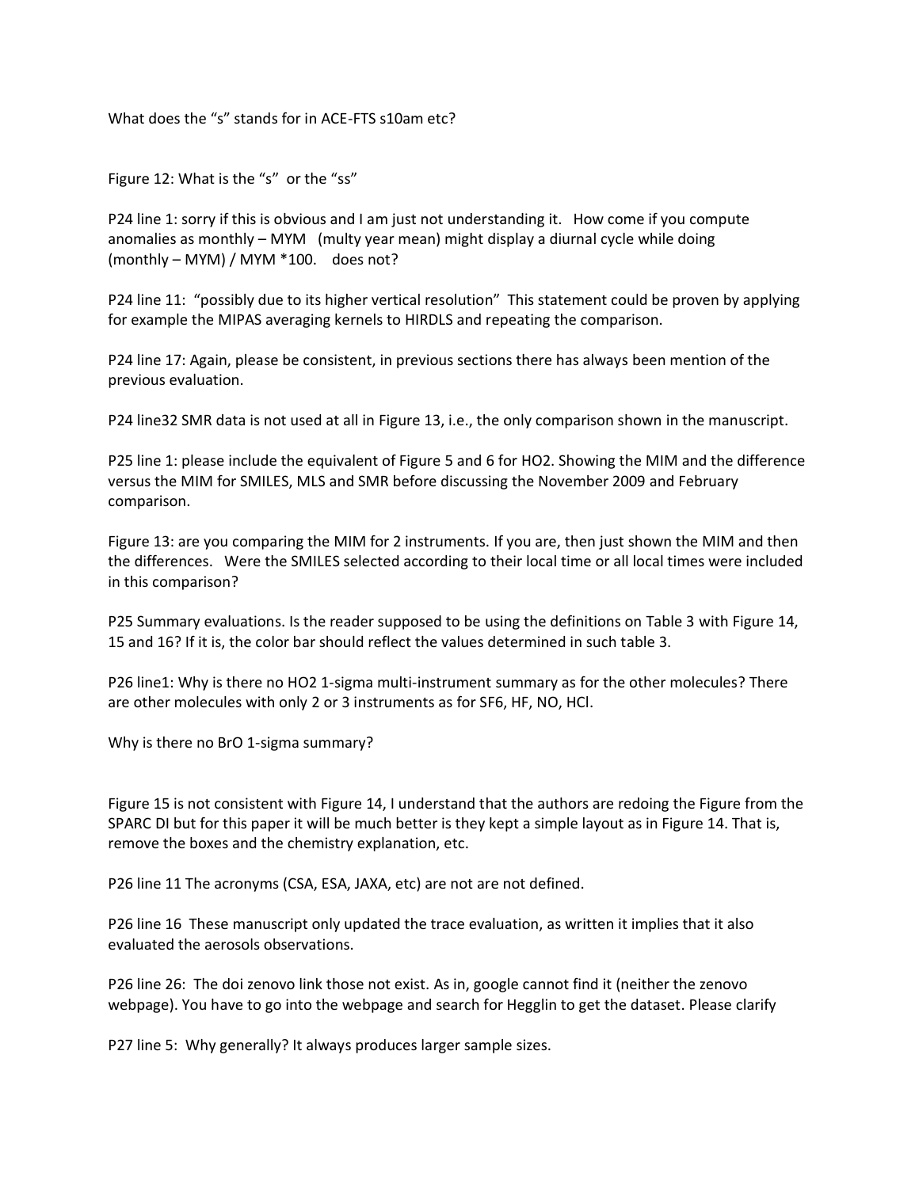What does the "s" stands for in ACE-FTS s10am etc?

Figure 12: What is the "s" or the "ss"

P24 line 1: sorry if this is obvious and I am just not understanding it. How come if you compute anomalies as monthly – MYM (multy year mean) might display a diurnal cycle while doing (monthly – MYM) / MYM \*100. does not?

P24 line 11: "possibly due to its higher vertical resolution" This statement could be proven by applying for example the MIPAS averaging kernels to HIRDLS and repeating the comparison.

P24 line 17: Again, please be consistent, in previous sections there has always been mention of the previous evaluation.

P24 line32 SMR data is not used at all in Figure 13, i.e., the only comparison shown in the manuscript.

P25 line 1: please include the equivalent of Figure 5 and 6 for HO2. Showing the MIM and the difference versus the MIM for SMILES, MLS and SMR before discussing the November 2009 and February comparison.

Figure 13: are you comparing the MIM for 2 instruments. If you are, then just shown the MIM and then the differences. Were the SMILES selected according to their local time or all local times were included in this comparison?

P25 Summary evaluations. Is the reader supposed to be using the definitions on Table 3 with Figure 14, 15 and 16? If it is, the color bar should reflect the values determined in such table 3.

P26 line1: Why is there no HO2 1-sigma multi-instrument summary as for the other molecules? There are other molecules with only 2 or 3 instruments as for SF6, HF, NO, HCl.

Why is there no BrO 1-sigma summary?

Figure 15 is not consistent with Figure 14, I understand that the authors are redoing the Figure from the SPARC DI but for this paper it will be much better is they kept a simple layout as in Figure 14. That is, remove the boxes and the chemistry explanation, etc.

P26 line 11 The acronyms (CSA, ESA, JAXA, etc) are not are not defined.

P26 line 16 These manuscript only updated the trace evaluation, as written it implies that it also evaluated the aerosols observations.

P26 line 26: The doi zenovo link those not exist. As in, google cannot find it (neither the zenovo webpage). You have to go into the webpage and search for Hegglin to get the dataset. Please clarify

P27 line 5: Why generally? It always produces larger sample sizes.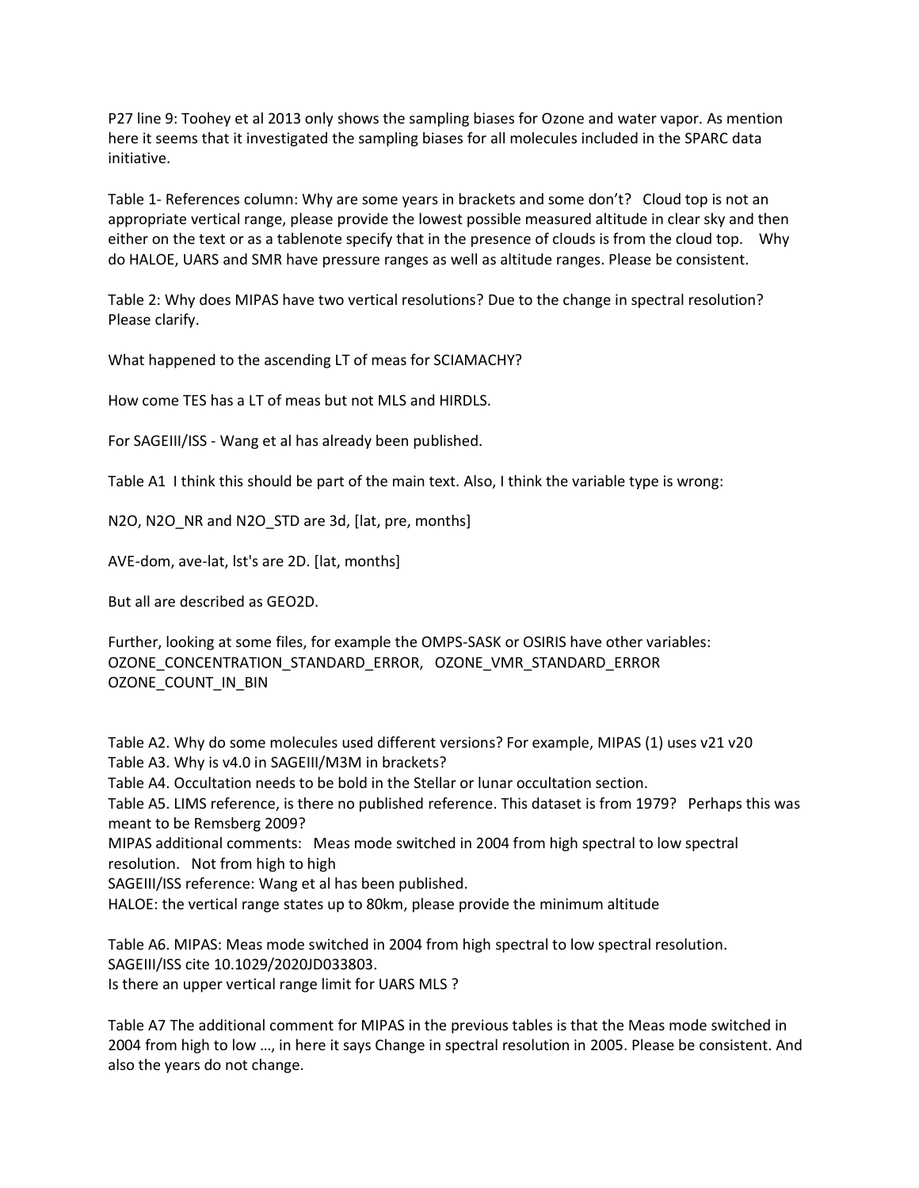P27 line 9: Toohey et al 2013 only shows the sampling biases for Ozone and water vapor. As mention here it seems that it investigated the sampling biases for all molecules included in the SPARC data initiative.

Table 1- References column: Why are some years in brackets and some don't? Cloud top is not an appropriate vertical range, please provide the lowest possible measured altitude in clear sky and then either on the text or as a tablenote specify that in the presence of clouds is from the cloud top. Why do HALOE, UARS and SMR have pressure ranges as well as altitude ranges. Please be consistent.

Table 2: Why does MIPAS have two vertical resolutions? Due to the change in spectral resolution? Please clarify.

What happened to the ascending LT of meas for SCIAMACHY?

How come TES has a LT of meas but not MLS and HIRDLS.

For SAGEIII/ISS - Wang et al has already been published.

Table A1 I think this should be part of the main text. Also, I think the variable type is wrong:

N2O, N2O NR and N2O STD are 3d, [lat, pre, months]

AVE-dom, ave-lat, lst's are 2D. [lat, months]

But all are described as GEO2D.

Further, looking at some files, for example the OMPS-SASK or OSIRIS have other variables: OZONE\_CONCENTRATION\_STANDARD\_ERROR, OZONE\_VMR\_STANDARD\_ERROR OZONE\_COUNT\_IN\_BIN

Table A2. Why do some molecules used different versions? For example, MIPAS (1) uses v21 v20 Table A3. Why is v4.0 in SAGEIII/M3M in brackets? Table A4. Occultation needs to be bold in the Stellar or lunar occultation section.

Table A5. LIMS reference, is there no published reference. This dataset is from 1979? Perhaps this was meant to be Remsberg 2009?

MIPAS additional comments: Meas mode switched in 2004 from high spectral to low spectral resolution. Not from high to high

SAGEIII/ISS reference: Wang et al has been published.

HALOE: the vertical range states up to 80km, please provide the minimum altitude

Table A6. MIPAS: Meas mode switched in 2004 from high spectral to low spectral resolution. SAGEIII/ISS cite 10.1029/2020JD033803. Is there an upper vertical range limit for UARS MLS ?

Table A7 The additional comment for MIPAS in the previous tables is that the Meas mode switched in 2004 from high to low …, in here it says Change in spectral resolution in 2005. Please be consistent. And also the years do not change.